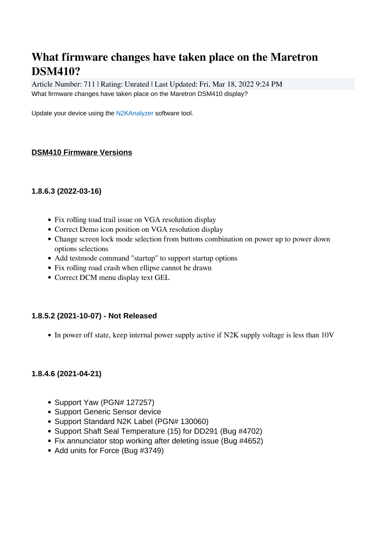# **What firmware changes have taken place on the Maretron DSM410?**

Article Number: 711 | Rating: Unrated | Last Updated: Fri, Mar 18, 2022 9:24 PM What firmware changes have taken place on the Maretron DSM410 display?

Update your device using the [N2KAnalyzer](https://www.maretron.com/products/N2KAnalyzer.php) software tool.

### **DSM410 Firmware Versions**

#### **1.8.6.3 (2022-03-16)**

- Fix rolling toad trail issue on VGA resolution display
- Correct Demo icon position on VGA resolution display
- Change screen lock mode selection from buttons combination on power up to power down options selections
- Add testmode command "startup" to support startup options
- Fix rolling road crash when ellipse cannot be drawn
- Correct DCM menu display text GEL

#### **1.8.5.2 (2021-10-07) - Not Released**

• In power off state, keep internal power supply active if N2K supply voltage is less than 10V

#### **1.8.4.6 (2021-04-21)**

- Support Yaw (PGN# 127257)
- Support Generic Sensor device
- Support Standard N2K Label (PGN# 130060)
- Support Shaft Seal Temperature (15) for DD291 (Bug #4702)
- Fix annunciator stop working after deleting issue (Bug #4652)
- Add units for Force (Bug #3749)